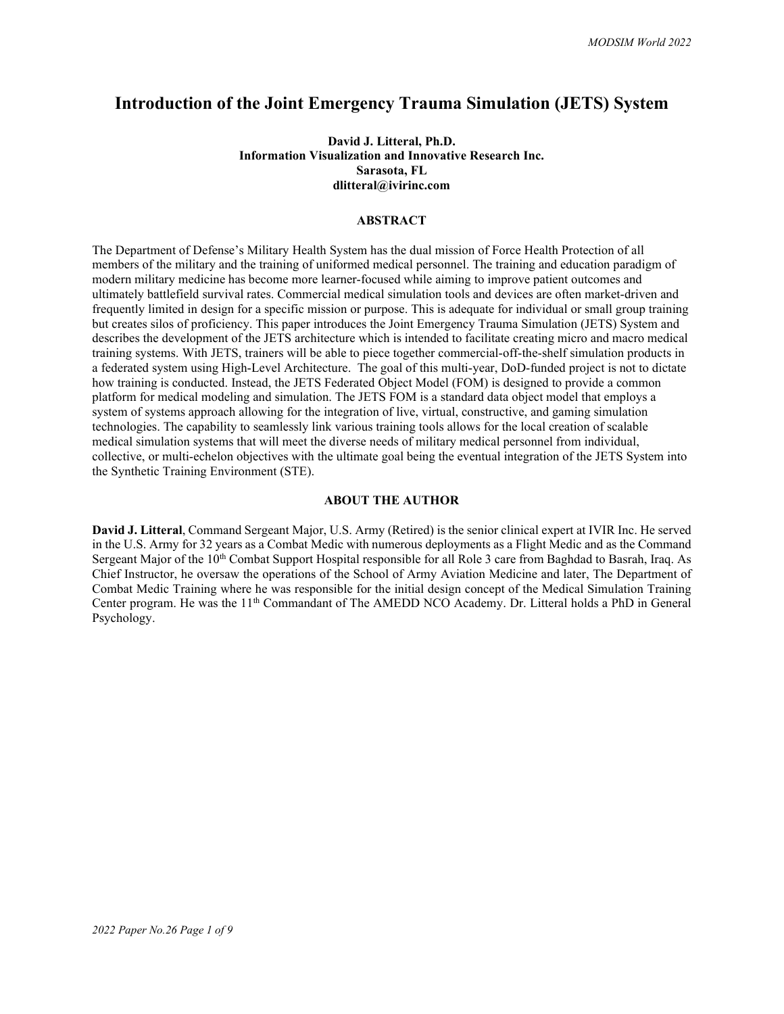# **Introduction of the Joint Emergency Trauma Simulation (JETS) System**

#### **David J. Litteral, Ph.D. Information Visualization and Innovative Research Inc. Sarasota, FL dlitteral@ivirinc.com**

#### **ABSTRACT**

The Department of Defense's Military Health System has the dual mission of Force Health Protection of all members of the military and the training of uniformed medical personnel. The training and education paradigm of modern military medicine has become more learner-focused while aiming to improve patient outcomes and ultimately battlefield survival rates. Commercial medical simulation tools and devices are often market-driven and frequently limited in design for a specific mission or purpose. This is adequate for individual or small group training but creates silos of proficiency. This paper introduces the Joint Emergency Trauma Simulation (JETS) System and describes the development of the JETS architecture which is intended to facilitate creating micro and macro medical training systems. With JETS, trainers will be able to piece together commercial-off-the-shelf simulation products in a federated system using High-Level Architecture. The goal of this multi-year, DoD-funded project is not to dictate how training is conducted. Instead, the JETS Federated Object Model (FOM) is designed to provide a common platform for medical modeling and simulation. The JETS FOM is a standard data object model that employs a system of systems approach allowing for the integration of live, virtual, constructive, and gaming simulation technologies. The capability to seamlessly link various training tools allows for the local creation of scalable medical simulation systems that will meet the diverse needs of military medical personnel from individual, collective, or multi-echelon objectives with the ultimate goal being the eventual integration of the JETS System into the Synthetic Training Environment (STE).

#### **ABOUT THE AUTHOR**

**David J. Litteral**, Command Sergeant Major, U.S. Army (Retired) is the senior clinical expert at IVIR Inc. He served in the U.S. Army for 32 years as a Combat Medic with numerous deployments as a Flight Medic and as the Command Sergeant Major of the 10<sup>th</sup> Combat Support Hospital responsible for all Role 3 care from Baghdad to Basrah, Iraq. As Chief Instructor, he oversaw the operations of the School of Army Aviation Medicine and later, The Department of Combat Medic Training where he was responsible for the initial design concept of the Medical Simulation Training Center program. He was the 11<sup>th</sup> Commandant of The AMEDD NCO Academy. Dr. Litteral holds a PhD in General Psychology.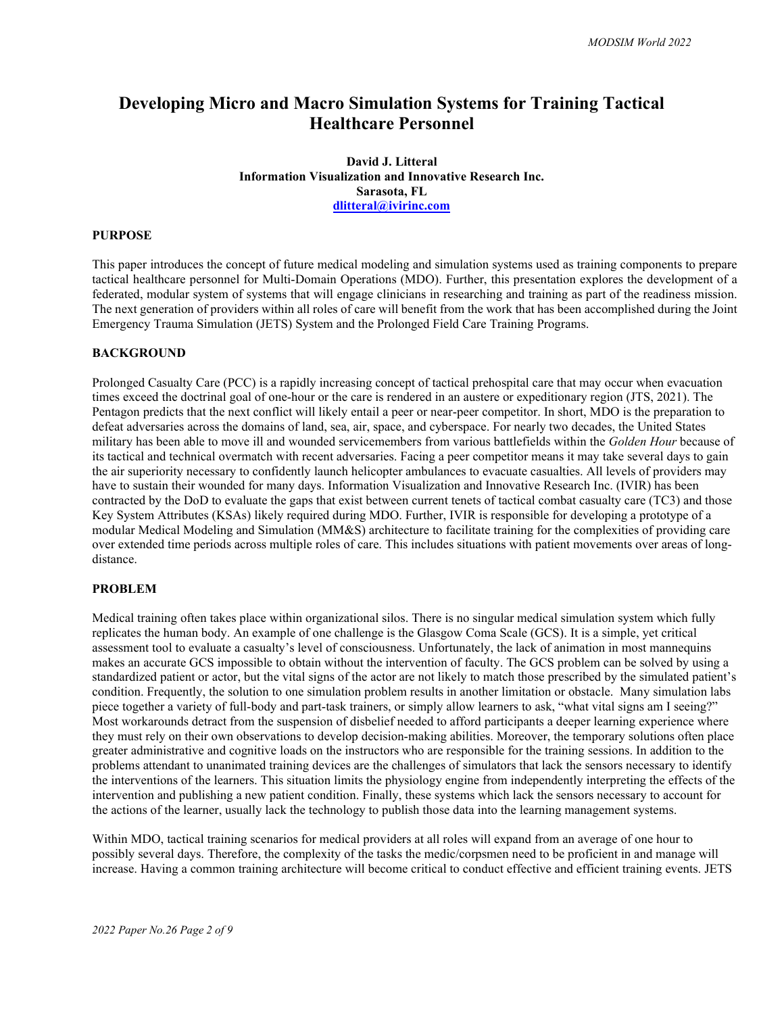# **Developing Micro and Macro Simulation Systems for Training Tactical Healthcare Personnel**

**David J. Litteral Information Visualization and Innovative Research Inc. Sarasota, FL [dlitteral@ivirinc.com](mailto:dlitteral@ivirinc.com)**

#### **PURPOSE**

This paper introduces the concept of future medical modeling and simulation systems used as training components to prepare tactical healthcare personnel for Multi-Domain Operations (MDO). Further, this presentation explores the development of a federated, modular system of systems that will engage clinicians in researching and training as part of the readiness mission. The next generation of providers within all roles of care will benefit from the work that has been accomplished during the Joint Emergency Trauma Simulation (JETS) System and the Prolonged Field Care Training Programs.

#### **BACKGROUND**

Prolonged Casualty Care (PCC) is a rapidly increasing concept of tactical prehospital care that may occur when evacuation times exceed the doctrinal goal of one-hour or the care is rendered in an austere or expeditionary region (JTS, 2021). The Pentagon predicts that the next conflict will likely entail a peer or near-peer competitor. In short, MDO is the preparation to defeat adversaries across the domains of land, sea, air, space, and cyberspace. For nearly two decades, the United States military has been able to move ill and wounded servicemembers from various battlefields within the *Golden Hour* because of its tactical and technical overmatch with recent adversaries. Facing a peer competitor means it may take several days to gain the air superiority necessary to confidently launch helicopter ambulances to evacuate casualties. All levels of providers may have to sustain their wounded for many days. Information Visualization and Innovative Research Inc. (IVIR) has been contracted by the DoD to evaluate the gaps that exist between current tenets of tactical combat casualty care (TC3) and those Key System Attributes (KSAs) likely required during MDO. Further, IVIR is responsible for developing a prototype of a modular Medical Modeling and Simulation (MM&S) architecture to facilitate training for the complexities of providing care over extended time periods across multiple roles of care. This includes situations with patient movements over areas of longdistance.

#### **PROBLEM**

Medical training often takes place within organizational silos. There is no singular medical simulation system which fully replicates the human body. An example of one challenge is the Glasgow Coma Scale (GCS). It is a simple, yet critical assessment tool to evaluate a casualty's level of consciousness. Unfortunately, the lack of animation in most mannequins makes an accurate GCS impossible to obtain without the intervention of faculty. The GCS problem can be solved by using a standardized patient or actor, but the vital signs of the actor are not likely to match those prescribed by the simulated patient's condition. Frequently, the solution to one simulation problem results in another limitation or obstacle. Many simulation labs piece together a variety of full-body and part-task trainers, or simply allow learners to ask, "what vital signs am I seeing?" Most workarounds detract from the suspension of disbelief needed to afford participants a deeper learning experience where they must rely on their own observations to develop decision-making abilities. Moreover, the temporary solutions often place greater administrative and cognitive loads on the instructors who are responsible for the training sessions. In addition to the problems attendant to unanimated training devices are the challenges of simulators that lack the sensors necessary to identify the interventions of the learners. This situation limits the physiology engine from independently interpreting the effects of the intervention and publishing a new patient condition. Finally, these systems which lack the sensors necessary to account for the actions of the learner, usually lack the technology to publish those data into the learning management systems.

Within MDO, tactical training scenarios for medical providers at all roles will expand from an average of one hour to possibly several days. Therefore, the complexity of the tasks the medic/corpsmen need to be proficient in and manage will increase. Having a common training architecture will become critical to conduct effective and efficient training events. JETS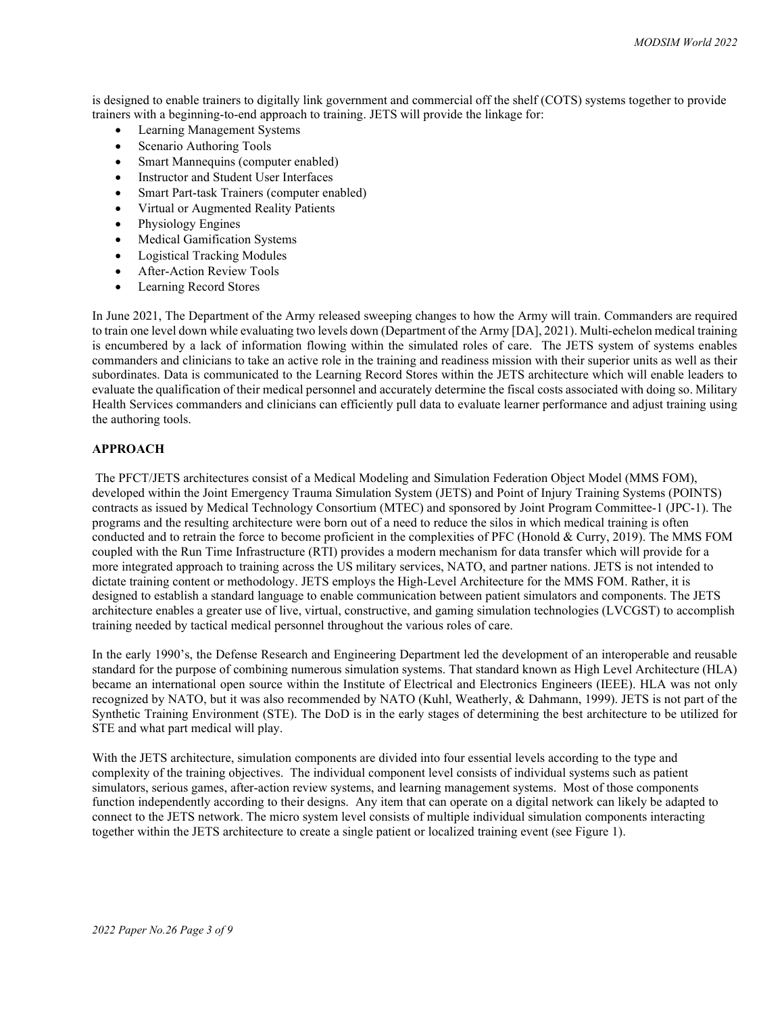is designed to enable trainers to digitally link government and commercial off the shelf (COTS) systems together to provide trainers with a beginning-to-end approach to training. JETS will provide the linkage for:

- Learning Management Systems
- Scenario Authoring Tools
- Smart Mannequins (computer enabled)
- Instructor and Student User Interfaces
- Smart Part-task Trainers (computer enabled)
- Virtual or Augmented Reality Patients
- Physiology Engines
- Medical Gamification Systems
- Logistical Tracking Modules
- After-Action Review Tools
- Learning Record Stores

In June 2021, The Department of the Army released sweeping changes to how the Army will train. Commanders are required to train one level down while evaluating two levels down (Department of the Army [DA], 2021). Multi-echelon medical training is encumbered by a lack of information flowing within the simulated roles of care. The JETS system of systems enables commanders and clinicians to take an active role in the training and readiness mission with their superior units as well as their subordinates. Data is communicated to the Learning Record Stores within the JETS architecture which will enable leaders to evaluate the qualification of their medical personnel and accurately determine the fiscal costs associated with doing so. Military Health Services commanders and clinicians can efficiently pull data to evaluate learner performance and adjust training using the authoring tools.

#### **APPROACH**

The PFCT/JETS architectures consist of a Medical Modeling and Simulation Federation Object Model (MMS FOM), developed within the Joint Emergency Trauma Simulation System (JETS) and Point of Injury Training Systems (POINTS) contracts as issued by Medical Technology Consortium (MTEC) and sponsored by Joint Program Committee-1 (JPC-1). The programs and the resulting architecture were born out of a need to reduce the silos in which medical training is often conducted and to retrain the force to become proficient in the complexities of PFC (Honold & Curry, 2019). The MMS FOM coupled with the Run Time Infrastructure (RTI) provides a modern mechanism for data transfer which will provide for a more integrated approach to training across the US military services, NATO, and partner nations. JETS is not intended to dictate training content or methodology. JETS employs the High-Level Architecture for the MMS FOM. Rather, it is designed to establish a standard language to enable communication between patient simulators and components. The JETS architecture enables a greater use of live, virtual, constructive, and gaming simulation technologies (LVCGST) to accomplish training needed by tactical medical personnel throughout the various roles of care.

In the early 1990's, the Defense Research and Engineering Department led the development of an interoperable and reusable standard for the purpose of combining numerous simulation systems. That standard known as High Level Architecture (HLA) became an international open source within the Institute of Electrical and Electronics Engineers (IEEE). HLA was not only recognized by NATO, but it was also recommended by NATO (Kuhl, Weatherly, & Dahmann, 1999). JETS is not part of the Synthetic Training Environment (STE). The DoD is in the early stages of determining the best architecture to be utilized for STE and what part medical will play.

With the JETS architecture, simulation components are divided into four essential levels according to the type and complexity of the training objectives. The individual component level consists of individual systems such as patient simulators, serious games, after-action review systems, and learning management systems. Most of those components function independently according to their designs. Any item that can operate on a digital network can likely be adapted to connect to the JETS network. The micro system level consists of multiple individual simulation components interacting together within the JETS architecture to create a single patient or localized training event (see Figure 1).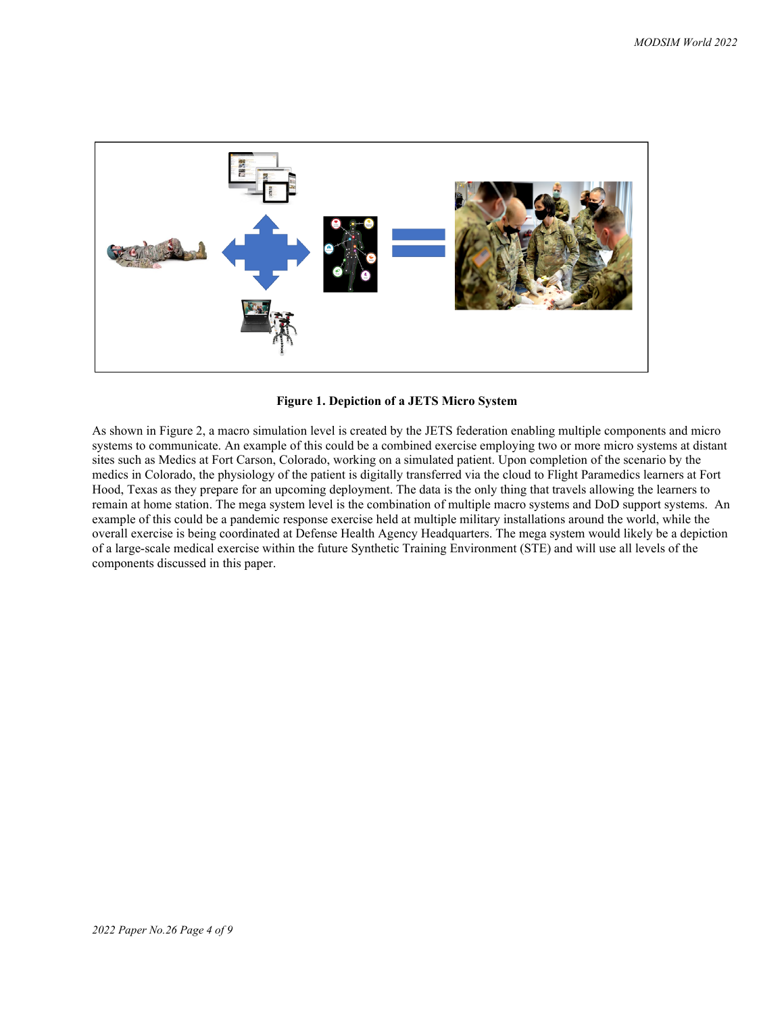

**Figure 1. Depiction of a JETS Micro System**

As shown in Figure 2, a macro simulation level is created by the JETS federation enabling multiple components and micro systems to communicate. An example of this could be a combined exercise employing two or more micro systems at distant sites such as Medics at Fort Carson, Colorado, working on a simulated patient. Upon completion of the scenario by the medics in Colorado, the physiology of the patient is digitally transferred via the cloud to Flight Paramedics learners at Fort Hood, Texas as they prepare for an upcoming deployment. The data is the only thing that travels allowing the learners to remain at home station. The mega system level is the combination of multiple macro systems and DoD support systems. An example of this could be a pandemic response exercise held at multiple military installations around the world, while the overall exercise is being coordinated at Defense Health Agency Headquarters. The mega system would likely be a depiction of a large-scale medical exercise within the future Synthetic Training Environment (STE) and will use all levels of the components discussed in this paper.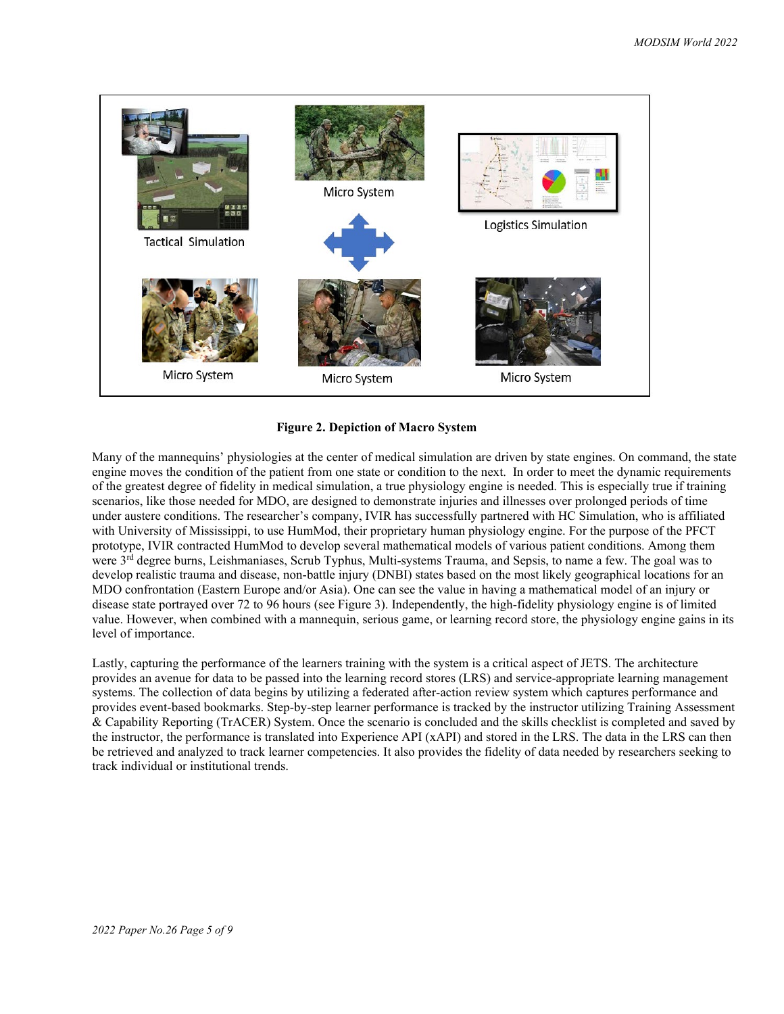

#### **Figure 2. Depiction of Macro System**

Many of the mannequins' physiologies at the center of medical simulation are driven by state engines. On command, the state engine moves the condition of the patient from one state or condition to the next. In order to meet the dynamic requirements of the greatest degree of fidelity in medical simulation, a true physiology engine is needed. This is especially true if training scenarios, like those needed for MDO, are designed to demonstrate injuries and illnesses over prolonged periods of time under austere conditions. The researcher's company, IVIR has successfully partnered with HC Simulation, who is affiliated with University of Mississippi, to use HumMod, their proprietary human physiology engine. For the purpose of the PFCT prototype, IVIR contracted HumMod to develop several mathematical models of various patient conditions. Among them were 3<sup>rd</sup> degree burns, Leishmaniases, Scrub Typhus, Multi-systems Trauma, and Sepsis, to name a few. The goal was to develop realistic trauma and disease, non-battle injury (DNBI) states based on the most likely geographical locations for an MDO confrontation (Eastern Europe and/or Asia). One can see the value in having a mathematical model of an injury or disease state portrayed over 72 to 96 hours (see Figure 3). Independently, the high-fidelity physiology engine is of limited value. However, when combined with a mannequin, serious game, or learning record store, the physiology engine gains in its level of importance.

Lastly, capturing the performance of the learners training with the system is a critical aspect of JETS. The architecture provides an avenue for data to be passed into the learning record stores (LRS) and service-appropriate learning management systems. The collection of data begins by utilizing a federated after-action review system which captures performance and provides event-based bookmarks. Step-by-step learner performance is tracked by the instructor utilizing Training Assessment & Capability Reporting (TrACER) System. Once the scenario is concluded and the skills checklist is completed and saved by the instructor, the performance is translated into Experience API (xAPI) and stored in the LRS. The data in the LRS can then be retrieved and analyzed to track learner competencies. It also provides the fidelity of data needed by researchers seeking to track individual or institutional trends.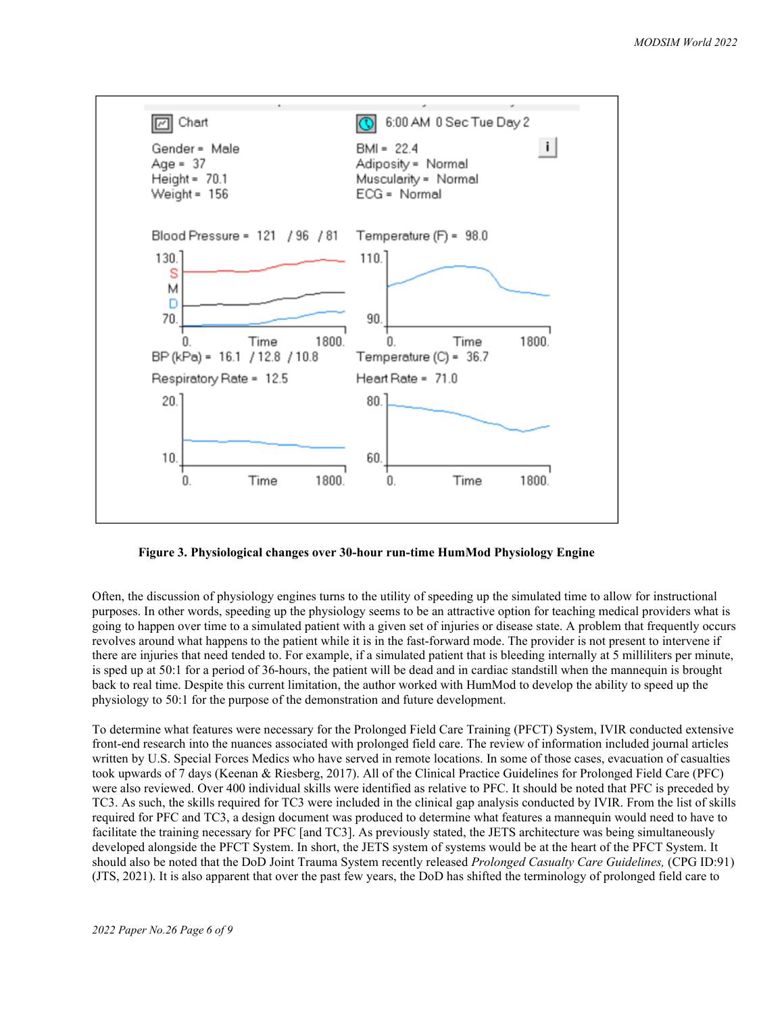

**Figure 3. Physiological changes over 30-hour run-time HumMod Physiology Engine**

Often, the discussion of physiology engines turns to the utility of speeding up the simulated time to allow for instructional purposes. In other words, speeding up the physiology seems to be an attractive option for teaching medical providers what is going to happen over time to a simulated patient with a given set of injuries or disease state. A problem that frequently occurs revolves around what happens to the patient while it is in the fast-forward mode. The provider is not present to intervene if there are injuries that need tended to. For example, if a simulated patient that is bleeding internally at 5 milliliters per minute, is sped up at 50:1 for a period of 36-hours, the patient will be dead and in cardiac standstill when the mannequin is brought back to real time. Despite this current limitation, the author worked with HumMod to develop the ability to speed up the physiology to 50:1 for the purpose of the demonstration and future development.

To determine what features were necessary for the Prolonged Field Care Training (PFCT) System, IVIR conducted extensive front-end research into the nuances associated with prolonged field care. The review of information included journal articles written by U.S. Special Forces Medics who have served in remote locations. In some of those cases, evacuation of casualties took upwards of 7 days (Keenan & Riesberg, 2017). All of the Clinical Practice Guidelines for Prolonged Field Care (PFC) were also reviewed. Over 400 individual skills were identified as relative to PFC. It should be noted that PFC is preceded by TC3. As such, the skills required for TC3 were included in the clinical gap analysis conducted by IVIR. From the list of skills required for PFC and TC3, a design document was produced to determine what features a mannequin would need to have to facilitate the training necessary for PFC [and TC3]. As previously stated, the JETS architecture was being simultaneously developed alongside the PFCT System. In short, the JETS system of systems would be at the heart of the PFCT System. It should also be noted that the DoD Joint Trauma System recently released *Prolonged Casualty Care Guidelines,* (CPG ID:91) (JTS, 2021). It is also apparent that over the past few years, the DoD has shifted the terminology of prolonged field care to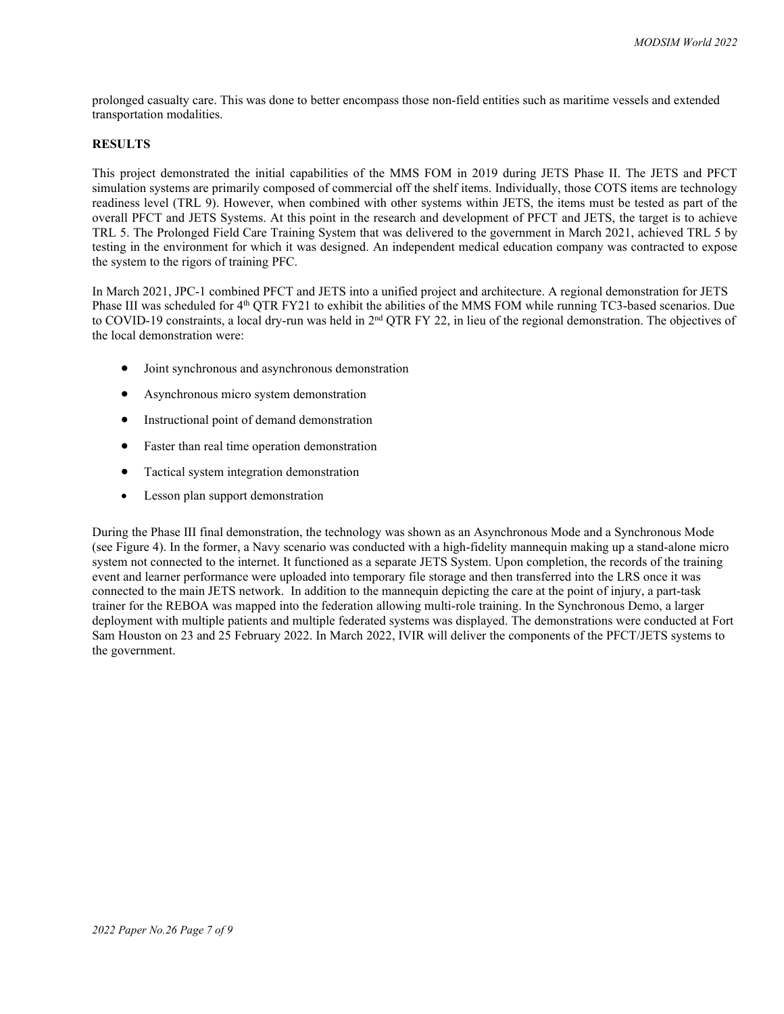prolonged casualty care. This was done to better encompass those non-field entities such as maritime vessels and extended transportation modalities.

#### **RESULTS**

This project demonstrated the initial capabilities of the MMS FOM in 2019 during JETS Phase II. The JETS and PFCT simulation systems are primarily composed of commercial off the shelf items. Individually, those COTS items are technology readiness level (TRL 9). However, when combined with other systems within JETS, the items must be tested as part of the overall PFCT and JETS Systems. At this point in the research and development of PFCT and JETS, the target is to achieve TRL 5. The Prolonged Field Care Training System that was delivered to the government in March 2021, achieved TRL 5 by testing in the environment for which it was designed. An independent medical education company was contracted to expose the system to the rigors of training PFC.

In March 2021, JPC-1 combined PFCT and JETS into a unified project and architecture. A regional demonstration for JETS Phase III was scheduled for 4<sup>th</sup> QTR FY21 to exhibit the abilities of the MMS FOM while running TC3-based scenarios. Due to COVID-19 constraints, a local dry-run was held in 2<sup>nd</sup> QTR FY 22, in lieu of the regional demonstration. The objectives of the local demonstration were:

- Joint synchronous and asynchronous demonstration
- Asynchronous micro system demonstration
- Instructional point of demand demonstration
- Faster than real time operation demonstration
- Tactical system integration demonstration
- Lesson plan support demonstration

During the Phase III final demonstration, the technology was shown as an Asynchronous Mode and a Synchronous Mode (see Figure 4). In the former, a Navy scenario was conducted with a high-fidelity mannequin making up a stand-alone micro system not connected to the internet. It functioned as a separate JETS System. Upon completion, the records of the training event and learner performance were uploaded into temporary file storage and then transferred into the LRS once it was connected to the main JETS network. In addition to the mannequin depicting the care at the point of injury, a part-task trainer for the REBOA was mapped into the federation allowing multi-role training. In the Synchronous Demo, a larger deployment with multiple patients and multiple federated systems was displayed. The demonstrations were conducted at Fort Sam Houston on 23 and 25 February 2022. In March 2022, IVIR will deliver the components of the PFCT/JETS systems to the government.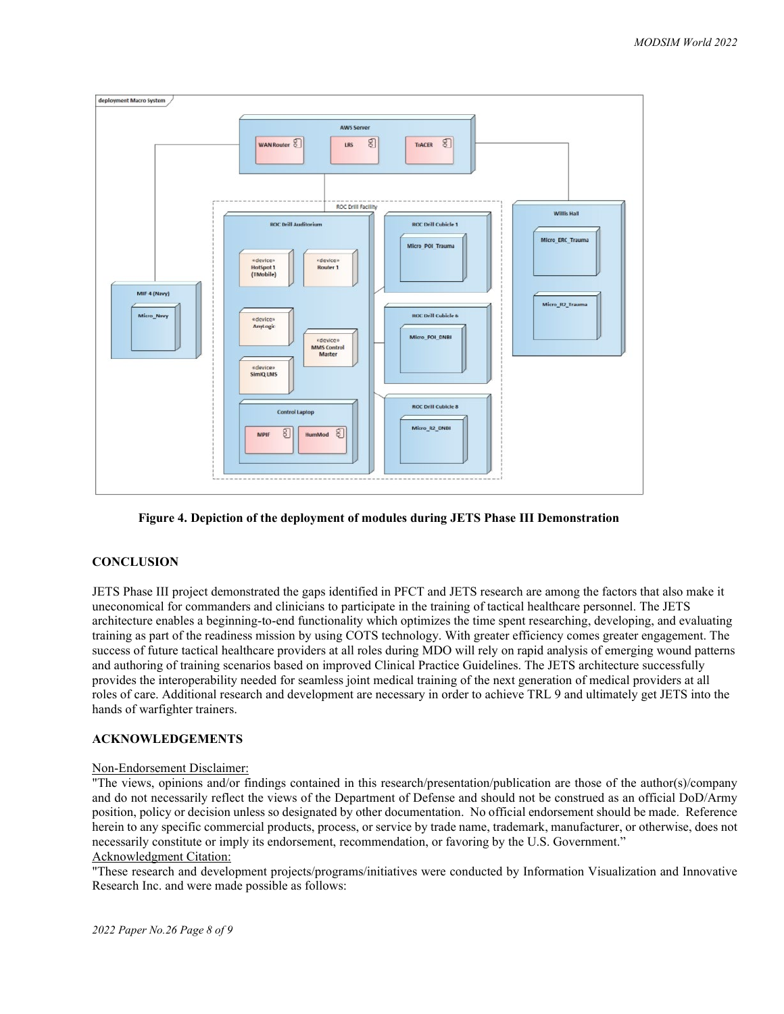

**Figure 4. Depiction of the deployment of modules during JETS Phase III Demonstration**

# **CONCLUSION**

JETS Phase III project demonstrated the gaps identified in PFCT and JETS research are among the factors that also make it uneconomical for commanders and clinicians to participate in the training of tactical healthcare personnel. The JETS architecture enables a beginning-to-end functionality which optimizes the time spent researching, developing, and evaluating training as part of the readiness mission by using COTS technology. With greater efficiency comes greater engagement. The success of future tactical healthcare providers at all roles during MDO will rely on rapid analysis of emerging wound patterns and authoring of training scenarios based on improved Clinical Practice Guidelines. The JETS architecture successfully provides the interoperability needed for seamless joint medical training of the next generation of medical providers at all roles of care. Additional research and development are necessary in order to achieve TRL 9 and ultimately get JETS into the hands of warfighter trainers.

# **ACKNOWLEDGEMENTS**

# Non-Endorsement Disclaimer:

"The views, opinions and/or findings contained in this research/presentation/publication are those of the author(s)/company and do not necessarily reflect the views of the Department of Defense and should not be construed as an official DoD/Army position, policy or decision unless so designated by other documentation. No official endorsement should be made. Reference herein to any specific commercial products, process, or service by trade name, trademark, manufacturer, or otherwise, does not necessarily constitute or imply its endorsement, recommendation, or favoring by the U.S. Government." Acknowledgment Citation:

"These research and development projects/programs/initiatives were conducted by Information Visualization and Innovative Research Inc. and were made possible as follows: